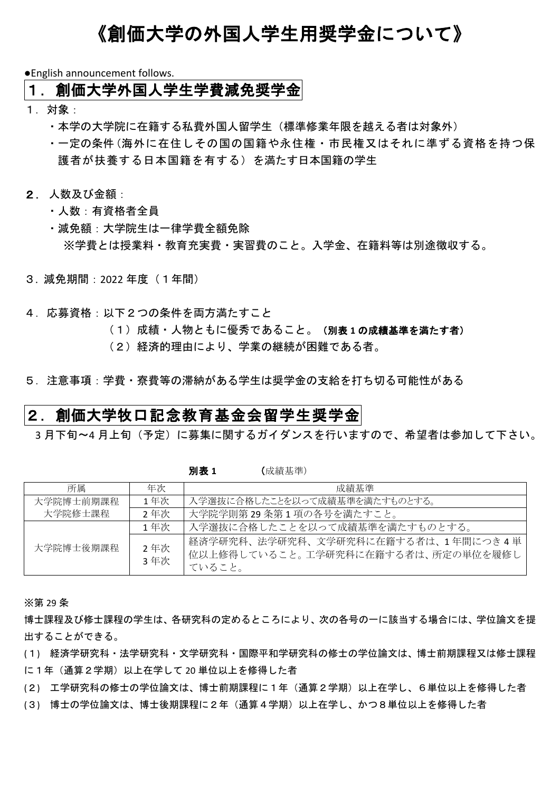# 《創価大学の外国人学生用奨学金について》

●English announcement follows.

## 1. 創価大学外国人学生学費減免奨学金

- 1.対象:
	- ・本学の大学院に在籍する私費外国人留学生(標準修業年限を越える者は対象外)
	- ・一定の条件(海外に在住しその国の国籍や永住権・市民権又はそれに準ずる資格を持つ保 護者が扶養する日本国籍を有する)を満たす日本国籍の学生
- 2. 人数及び金額:
	- 人数: 有資格者全員
	- ・減免額:大学院生は一律学費全額免除 ※学費とは授業料・教育充実費・実習費のこと。入学金、在籍料等は別途徴収する。
- 3. 減免期間:2022 年度(1年間)
- 4.応募資格:以下2つの条件を両方満たすこと
	- (1)成績・人物ともに優秀であること。(別表 **1** の成績基準を満たす者)
	- (2)経済的理由により、学業の継続が困難である者。
- 5.注意事項:学費・寮費等の滞納がある学生は奨学金の支給を打ち切る可能性がある

## 2. 創価大学牧口記念教育基金会留学生奨学金

3 月下旬~4 月上旬(予定)に募集に関するガイダンスを行いますので、希望者は参加して下さい。

| 所属                   | 年次         | 成績基準                                                                               |
|----------------------|------------|------------------------------------------------------------------------------------|
| 大学院博士前期課程<br>大学院修士課程 | 1年次        | 入学選抜に合格したことを以って成績基準を満たすものとする。                                                      |
|                      | 2年次        | 大学院学則第29条第1項の各号を満たすこと。                                                             |
| 大学院博士後期課程            | 1年次        | 入学選抜に合格したことを以って成績基準を満たすものとする。                                                      |
|                      | 2年次<br>3年次 | 経済学研究科、法学研究科、文学研究科に在籍する者は、1年間につき4単<br>位以上修得していること。工学研究科に在籍する者は、所定の単位を履修し<br>ていること。 |

别表 1 (成績基準)

※第 29 条

博士課程及び修士課程の学生は、各研究科の定めるところにより、次の各号の一に該当する場合には、学位論文を提 出することができる。

(1) 経済学研究科・法学研究科・文学研究科・国際平和学研究科の修士の学位論文は、博士前期課程又は修士課程 に1年(通算2学期)以上在学して 20 単位以上を修得した者

- (2) 工学研究科の修士の学位論文は、博士前期課程に1年(通算2学期)以上在学し、6単位以上を修得した者
- (3) 博士の学位論文は、博士後期課程に2年(通算4学期)以上在学し、かつ8単位以上を修得した者